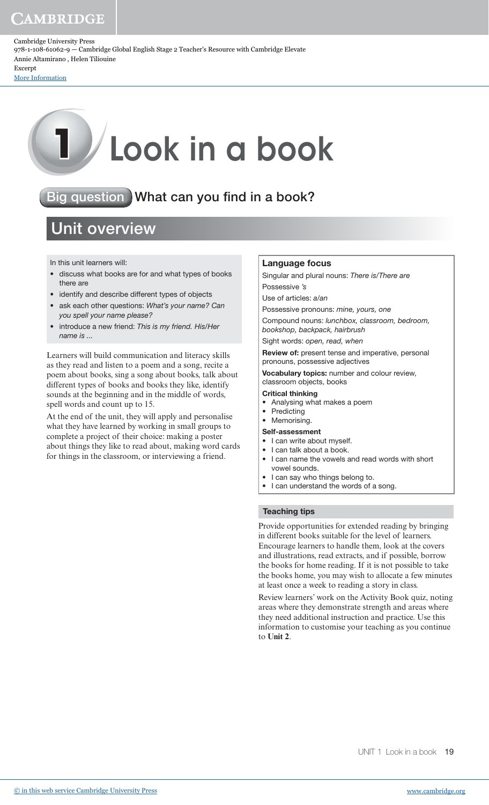Cambridge University Press 978-1-108-61062-9 — Cambridge Global English Stage 2 Teacher's Resource with Cambridge Elevate Annie Altamirano , Helen Tiliouine Excerpt

[More Information](www.cambridge.org/9781108610629)

# **1** Look in a book

# Big question What can you find in a book?

# Unit overview

In this unit learners will:

- discuss what books are for and what types of books there are
- identify and describe different types of objects
- ask each other questions: What's your name? Can you spell your name please?
- introduce a new friend: This is my friend. His/Her name is ...

Learners will build communication and literacy skills as they read and listen to a poem and a song, recite a poem about books, sing a song about books, talk about different types of books and books they like, identify sounds at the beginning and in the middle of words, spell words and count up to 15.

At the end of the unit, they will apply and personalise what they have learned by working in small groups to complete a project of their choice: making a poster about things they like to read about, making word cards for things in the classroom, or interviewing a friend.

## Language focus

Singular and plural nouns: There is/There are

Possessive 's

Use of articles: a/an

Possessive pronouns: mine, yours, one

Compound nouns: lunchbox, classroom, bedroom, bookshop, backpack, hairbrush

Sight words: open, read, when

Review of: present tense and imperative, personal pronouns, possessive adjectives

Vocabulary topics: number and colour review, classroom objects, books

#### Critical thinking

- Analysing what makes a poem
- **Predicting**
- Memorising.

## Self-assessment

- I can write about myself.
- I can talk about a book.
- I can name the vowels and read words with short vowel sounds.
- I can say who things belong to.
- I can understand the words of a song.

## Teaching tips

Provide opportunities for extended reading by bringing in different books suitable for the level of learners. Encourage learners to handle them, look at the covers and illustrations, read extracts, and if possible, borrow the books for home reading. If it is not possible to take the books home, you may wish to allocate a few minutes at least once a week to reading a story in class.

Review learners' work on the Activity Book quiz, noting areas where they demonstrate strength and areas where they need additional instruction and practice. Use this information to customise your teaching as you continue to **Unit 2**.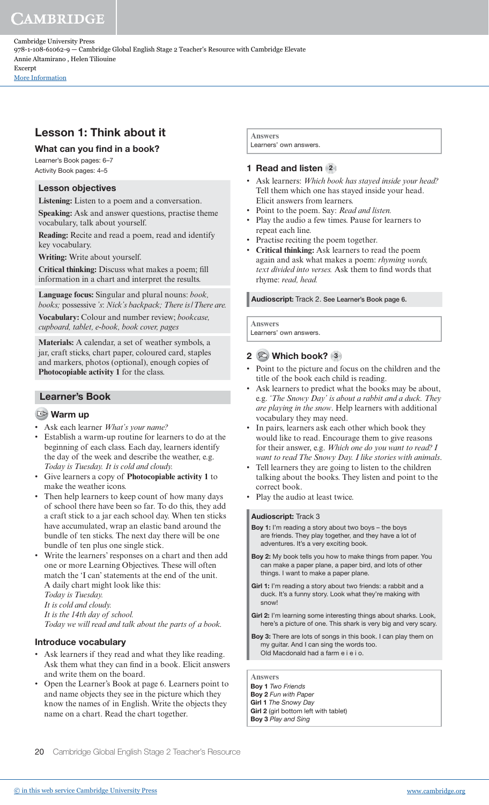Cambridge University Press 978-1-108-61062-9 — Cambridge Global English Stage 2 Teacher's Resource with Cambridge Elevate Annie Altamirano , Helen Tiliouine Excerpt

[More Information](www.cambridge.org/9781108610629)

## Lesson 1: Think about it

## What can you find in a book?

Learner's Book pages: 6–7 Activity Book pages: 4–5

## Lesson objectives

**Listening:** Listen to a poem and a conversation.

**Speaking:** Ask and answer questions, practise theme vocabulary, talk about yourself.

**Reading:** Recite and read a poem, read and identify key vocabulary.

**Writing:** Write about yourself.

**Critical thinking:** Discuss what makes a poem; fill information in a chart and interpret the results.

**Language focus:** Singular and plural nouns: *book, books;* possessive *'s*: *Nick's backpack; There is / There are.* **Vocabulary:** Colour and number review; *bookcase, cupboard, tablet, e-book, book cover, pages*

**Materials:** A calendar, a set of weather symbols, a jar, craft sticks, chart paper, coloured card, staples and markers, photos (optional), enough copies of **Photocopiable activity 1** for the class.

## Learner's Book

## **Warm up**

- Ask each learner *What's your name?*
- Establish a warm-up routine for learners to do at the beginning of each class. Each day, learners identify the day of the week and describe the weather, e.g. *Today is Tuesday. It is cold and cloudy.*
- Give learners a copy of **Photocopiable activity 1** to make the weather icons.
- Then help learners to keep count of how many days of school there have been so far. To do this, they add a craft stick to a jar each school day. When ten sticks have accumulated, wrap an elastic band around the bundle of ten sticks. The next day there will be one bundle of ten plus one single stick.
- Write the learners' responses on a chart and then add one or more Learning Objectives. These will often match the 'I can' statements at the end of the unit. A daily chart might look like this:  *Today is Tuesday.*

 *It is cold and cloudy.*

 *It is the 14th day of school.* 

 *Today we will read and talk about the parts of a book.*

## Introduce vocabulary

- Ask learners if they read and what they like reading. Ask them what they can find in a book. Elicit answers and write them on the board.
- Open the Learner's Book at page 6. Learners point to and name objects they see in the picture which they know the names of in English. Write the objects they name on a chart. Read the chart together.

**Answers**  Learners' own answers.

## 1 Read and listen (2)

- Ask learners: *Which book has stayed inside your head?* Tell them which one has stayed inside your head. Elicit answers from learners.
- Point to the poem. Say: *Read and listen.*
- Play the audio a few times. Pause for learners to repeat each line.
- Practise reciting the poem together.
- **Critical thinking:** Ask learners to read the poem again and ask what makes a poem: *rhyming words,*  text divided into verses. Ask them to find words that rhyme: *read, head.*

## Audioscript: Track 2. See Learner's Book page 6.

**Answers** Learners' own answers.

## 2 Which book? 3

- Point to the picture and focus on the children and the title of the book each child is reading.
- Ask learners to predict what the books may be about, e.g. *'The Snowy Day' is about a rabbit and a duck. They are playing in the snow*. Help learners with additional vocabulary they may need.
- In pairs, learners ask each other which book they would like to read. Encourage them to give reasons for their answer, e.g. *Which one do you want to read? I want to read The Snowy Day. I like stories with animals*.
- Tell learners they are going to listen to the children talking about the books. They listen and point to the correct book.
- Play the audio at least twice.

#### Audioscript: Track 3

- Boy 1: I'm reading a story about two boys the boys are friends. They play together, and they have a lot of adventures. It's a very exciting book.
- Boy 2: My book tells you how to make things from paper. You can make a paper plane, a paper bird, and lots of other things. I want to make a paper plane.
- Girl 1: I'm reading a story about two friends: a rabbit and a duck. It's a funny story. Look what they're making with snow!
- Girl 2: I'm learning some interesting things about sharks. Look, here's a picture of one. This shark is very big and very scary.
- Boy 3: There are lots of songs in this book. I can play them on my guitar. And I can sing the words too. Old Macdonald had a farm e i e i o.

**Answers**  Boy 1 Two Friends Boy 2 Fun with Paper Girl 1 The Snowy Day Girl 2 (girl bottom left with tablet) Boy 3 Play and Sing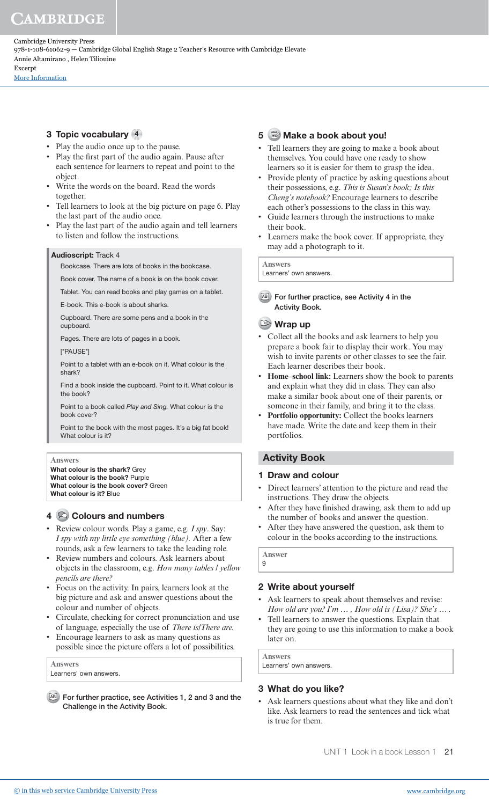Cambridge University Press 978-1-108-61062-9 — Cambridge Global English Stage 2 Teacher's Resource with Cambridge Elevate Annie Altamirano , Helen Tiliouine Excerpt

[More Information](www.cambridge.org/9781108610629)

## 3 Topic vocabulary 4

- Play the audio once up to the pause.
- Play the first part of the audio again. Pause after each sentence for learners to repeat and point to the object.
- Write the words on the board. Read the words together.
- Tell learners to look at the big picture on page 6. Play the last part of the audio once.
- Play the last part of the audio again and tell learners to listen and follow the instructions.

#### Audioscript: Track 4

Bookcase. There are lots of books in the bookcase.

Book cover. The name of a book is on the book cover.

Tablet. You can read books and play games on a tablet.

E-book. This e-book is about sharks.

 Cupboard. There are some pens and a book in the cupboard.

Pages. There are lots of pages in a book.

[\*PAUSE\*]

 Point to a tablet with an e-book on it. What colour is the shark?

 Find a book inside the cupboard. Point to it. What colour is the book?

 Point to a book called Play and Sing. What colour is the book cover?

 Point to the book with the most pages. It's a big fat book! What colour is it?

#### **Answers**

What colour is the shark? Grev What colour is the book? Purple What colour is the book cover? Green What colour is it? Blue

## 4 Colours and numbers

- Review colour words. Play a game, e.g. *I spy*. Say: *I spy with my little eye something (blue).* After a few rounds, ask a few learners to take the leading role.
- Review numbers and colours. Ask learners about objects in the classroom, e.g. *How many tables / yellow pencils are there?*
- Focus on the activity. In pairs, learners look at the big picture and ask and answer questions about the colour and number of objects.
- Circulate, checking for correct pronunciation and use of language, especially the use of *There is/There are.*
- Encourage learners to ask as many questions as possible since the picture offers a lot of possibilities.

**Answers**  Learners' own answers.

AB For further practice, see Activities 1, 2 and 3 and the Challenge in the Activity Book.

## 5 Make a book about you!

- Tell learners they are going to make a book about themselves. You could have one ready to show learners so it is easier for them to grasp the idea.
- Provide plenty of practice by asking questions about their possessions, e.g. *This is Susan's book; Is this Cheng's notebook?* Encourage learners to describe each other's possessions to the class in this way.
- Guide learners through the instructions to make their book.
- Learners make the book cover. If appropriate, they may add a photograph to it.

#### **Answers**

Learners' own answers.

AB For further practice, see Activity 4 in the Activity Book.

## Wrap up

- Collect all the books and ask learners to help you prepare a book fair to display their work. You may wish to invite parents or other classes to see the fair. Each learner describes their book.
- **Home–school link:** Learners show the book to parents and explain what they did in class. They can also make a similar book about one of their parents, or someone in their family, and bring it to the class.
- **Portfolio opportunity:** Collect the books learners have made. Write the date and keep them in their portfolios.

## Activity Book

## 1 Draw and colour

- Direct learners' attention to the picture and read the instructions. They draw the objects.
- After they have finished drawing, ask them to add up the number of books and answer the question.
- After they have answered the question, ask them to colour in the books according to the instructions.

**Answer** 9

## 2 Write about yourself

- Ask learners to speak about themselves and revise: *How old are you? I'm … , How old is (Lisa)? She's … .*
- Tell learners to answer the questions. Explain that they are going to use this information to make a book later on.

**Answers** 

Learners' own answers.

## 3 What do you like?

Ask learners questions about what they like and don't like. Ask learners to read the sentences and tick what is true for them.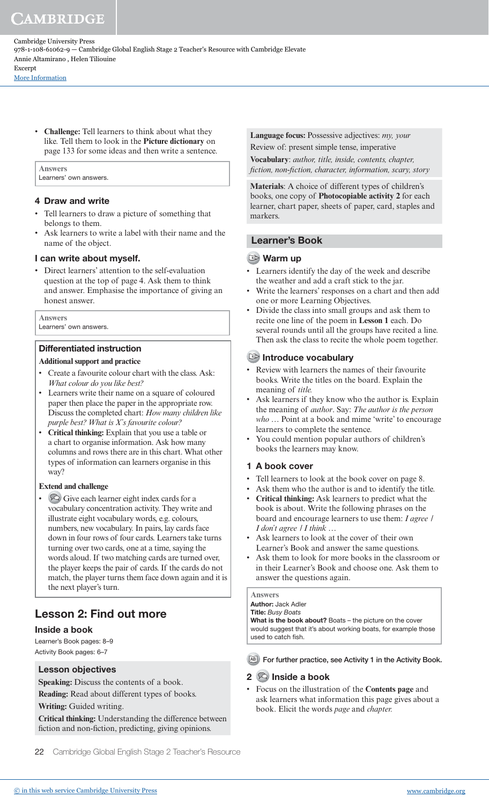Cambridge University Press 978-1-108-61062-9 — Cambridge Global English Stage 2 Teacher's Resource with Cambridge Elevate Annie Altamirano , Helen Tiliouine Excerpt

[More Information](www.cambridge.org/9781108610629)

• **Challenge:** Tell learners to think about what they like. Tell them to look in the **Picture dictionary** on page 133 for some ideas and then write a sentence.

# Learners' own answers.

**Answers** 

## 4 Draw and write

- Tell learners to draw a picture of something that belongs to them.
- Ask learners to write a label with their name and the name of the object.

## I can write about myself.

• Direct learners' attention to the self-evaluation question at the top of page 4. Ask them to think and answer. Emphasise the importance of giving an honest answer.

#### **Answers**

Learners' own answers.

## Differentiated instruction

## **Additional support and practice**

- Create a favourite colour chart with the class. Ask: *What colour do you like best?*
- Learners write their name on a square of coloured paper then place the paper in the appropriate row. Discuss the completed chart: *How many children like purple best? What is X's favourite colour?*
- **Critical thinking:** Explain that you use a table or a chart to organise information. Ask how many columns and rows there are in this chart. What other types of information can learners organise in this way?

## **Extend and challenge**

• Give each learner eight index cards for a vocabulary concentration activity. They write and illustrate eight vocabulary words, e.g. colours, numbers, new vocabulary. In pairs, lay cards face down in four rows of four cards. Learners take turns turning over two cards, one at a time, saying the words aloud. If two matching cards are turned over, the player keeps the pair of cards. If the cards do not match, the player turns them face down again and it is the next player's turn.

## Lesson 2: Find out more

## Inside a book

Learner's Book pages: 8–9 Activity Book pages: 6–7

## Lesson objectives

**Speaking:** Discuss the contents of a book.

**Reading:** Read about different types of books.

## **Writing:** Guided writing.

**Critical thinking:** Understanding the difference between fiction and non-fiction, predicting, giving opinions.

22 Cambridge Global English Stage 2 Teacher's Resource

**Language focus:** Possessive adjectives: *my, your* Review of: present simple tense, imperative

**Vocabulary**: *author, title, inside, contents, chapter, fiction, non-fiction, character, information, scary, story*

**Materials**: A choice of different types of children's books, one copy of **Photocopiable activity 2** for each learner, chart paper, sheets of paper, card, staples and markers.

## Learner's Book

## Warm up

- Learners identify the day of the week and describe the weather and add a craft stick to the jar.
- Write the learners' responses on a chart and then add one or more Learning Objectives.
- Divide the class into small groups and ask them to recite one line of the poem in **Lesson 1** each. Do several rounds until all the groups have recited a line. Then ask the class to recite the whole poem together.

## Introduce vocabulary

- Review with learners the names of their favourite books. Write the titles on the board. Explain the meaning of *title.*
- Ask learners if they know who the author is. Explain the meaning of *author*. Say: *The author is the person who …* Point at a book and mime 'write' to encourage learners to complete the sentence.
- You could mention popular authors of children's books the learners may know.

## 1 A book cover

- Tell learners to look at the book cover on page 8.
- Ask them who the author is and to identify the title.
- **Critical thinking:** Ask learners to predict what the book is about. Write the following phrases on the board and encourage learners to use them: *I agree / I don't agree / I think …*
- Ask learners to look at the cover of their own Learner's Book and answer the same questions.
- Ask them to look for more books in the classroom or in their Learner's Book and choose one. Ask them to answer the questions again.

## **Answers**

#### **Author: Jack Adler Title: Busy Boats**

What is the book about? Boats – the picture on the cover would suggest that it's about working boats, for example those used to catch fish.

AB For further practice, see Activity 1 in the Activity Book.

## $2 \heartsuit$  Inside a book

• Focus on the illustration of the **Contents page** and ask learners what information this page gives about a book. Elicit the words *page* and *chapter.*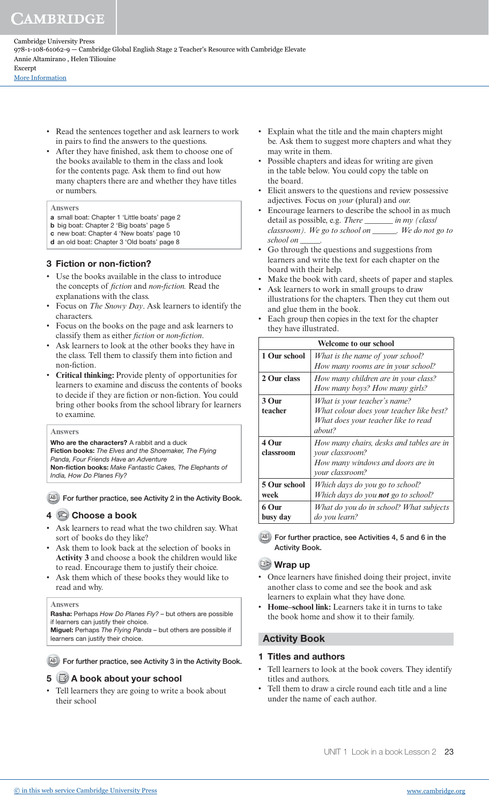Cambridge University Press 978-1-108-61062-9 — Cambridge Global English Stage 2 Teacher's Resource with Cambridge Elevate Annie Altamirano , Helen Tiliouine Excerpt

[More Information](www.cambridge.org/9781108610629)

- Read the sentences together and ask learners to work in pairs to find the answers to the questions.
- After they have finished, ask them to choose one of the books available to them in the class and look for the contents page. Ask them to find out how many chapters there are and whether they have titles or numbers.

#### **Answers**

- a small boat: Chapter 1 'Little boats' page 2
- b big boat: Chapter 2 'Big boats' page 5 c new boat: Chapter 4 'New boats' page 10
- d an old boat: Chapter 3 'Old boats' page 8

## 3 Fiction or non-fiction?

- Use the books available in the class to introduce the concepts of *fiction* and *non-fiction.* Read the explanations with the class.
- Focus on *The Snowy Day*. Ask learners to identify the characters.
- Focus on the books on the page and ask learners to classify them as either *fiction* or *non-fiction*.
- Ask learners to look at the other books they have in the class. Tell them to classify them into fiction and non-fiction.
- **Critical thinking:** Provide plenty of opportunities for learners to examine and discuss the contents of books to decide if they are fiction or non-fiction. You could bring other books from the school library for learners to examine.

#### **Answers**

Who are the characters? A rabbit and a duck Fiction books: The Elves and the Shoemaker, The Flying Panda, Four Friends Have an Adventure Non-fiction books: Make Fantastic Cakes, The Elephants of India, How Do Planes Fly?

AB For further practice, see Activity 2 in the Activity Book.

## 4 Choose a book

- Ask learners to read what the two children say. What sort of books do they like?
- Ask them to look back at the selection of books in **Activity 3** and choose a book the children would like to read. Encourage them to justify their choice.
- Ask them which of these books they would like to read and why.

#### **Answers**

Rasha: Perhaps How Do Planes Fly? – but others are possible if learners can justify their choice.

Miguel: Perhaps The Flying Panda – but others are possible if learners can justify their choice.

AB For further practice, see Activity 3 in the Activity Book.

## 5 a book about your school

• Tell learners they are going to write a book about their school

- Explain what the title and the main chapters might be. Ask them to suggest more chapters and what they may write in them.
- Possible chapters and ideas for writing are given in the table below. You could copy the table on the board.
- Elicit answers to the questions and review possessive adjectives. Focus on *your* (plural) and *our.*
- Encourage learners to describe the school in as much detail as possible, e.g. *There \_\_\_\_\_\_\_ in my (class/ classroom). We go to school on \_\_\_\_\_\_. We do not go to school on \_\_\_\_\_.*
- Go through the questions and suggestions from learners and write the text for each chapter on the board with their help.
- Make the book with card, sheets of paper and staples.
- Ask learners to work in small groups to draw illustrations for the chapters. Then they cut them out and glue them in the book.
- Each group then copies in the text for the chapter they have illustrated.

|                      | <b>Welcome to our school</b>                                                                                              |
|----------------------|---------------------------------------------------------------------------------------------------------------------------|
| 1 Our school         | What is the name of your school?<br>How many rooms are in your school?                                                    |
| 2 Our class          | How many children are in your class?<br>How many boys? How many girls?                                                    |
| 3 Our<br>teacher     | What is your teacher's name?<br>What colour does your teacher like best?<br>What does your teacher like to read<br>ahout? |
| 4 Our<br>classroom   | How many chairs, desks and tables are in<br>your classroom?<br>How many windows and doors are in<br>your classroom?       |
| 5 Our school<br>week | Which days do you go to school?<br>Which days do you not go to school?                                                    |
| 6 Our<br>busy day    | What do you do in school? What subjects<br>do you learn?                                                                  |

AB For further practice, see Activities 4, 5 and 6 in the Activity Book.

## Wrap up

- Once learners have finished doing their project, invite another class to come and see the book and ask learners to explain what they have done.
- **Home–school link:** Learners take it in turns to take the book home and show it to their family.

## Activity Book

## 1 Titles and authors

- Tell learners to look at the book covers. They identify titles and authors.
- Tell them to draw a circle round each title and a line under the name of each author.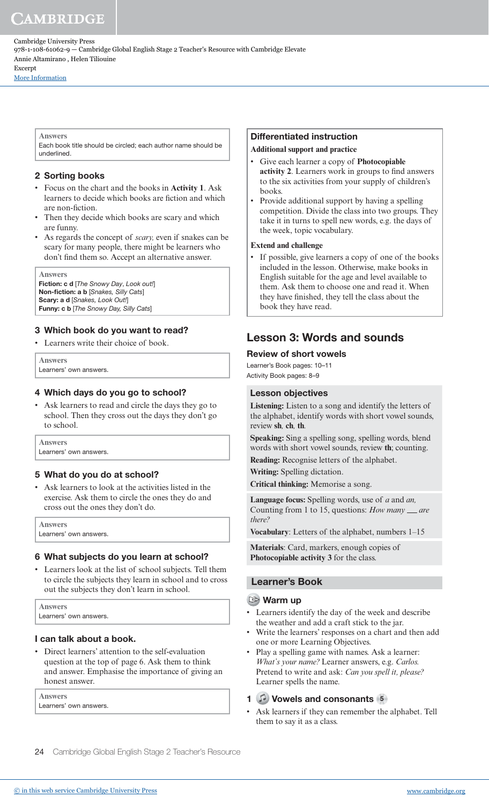Cambridge University Press 978-1-108-61062-9 — Cambridge Global English Stage 2 Teacher's Resource with Cambridge Elevate Annie Altamirano , Helen Tiliouine Excerpt

[More Information](www.cambridge.org/9781108610629)

#### **Answers**

Each book title should be circled; each author name should be underlined.

## 2 Sorting books

- Focus on the chart and the books in **Activity 1**. Ask learners to decide which books are fiction and which are non-fiction.
- Then they decide which books are scary and which are funny.
- As regards the concept of *scary,* even if snakes can be scary for many people, there might be learners who don't find them so. Accept an alternative answer.

**Answers** 

Fiction: c d [The Snowy Day, Look out!] Non-fiction: a b [Snakes, Silly Cats] Scary: a d [Snakes, Look Out!] Funny: c b [The Snowy Day, Silly Cats]

## 3 Which book do you want to read?

• Learners write their choice of book.

**Answers**  Learners' own answers.

## 4 Which days do you go to school?

• Ask learners to read and circle the days they go to school. Then they cross out the days they don't go to school.

**Answers**  Learners' own answers.

## 5 What do you do at school?

• Ask learners to look at the activities listed in the exercise. Ask them to circle the ones they do and cross out the ones they don't do.

| <b>Answers</b>         |
|------------------------|
| Learners' own answers. |

## 6 What subjects do you learn at school?

• Learners look at the list of school subjects. Tell them to circle the subjects they learn in school and to cross out the subjects they don't learn in school.

**Answers**  Learners' own answers.

## I can talk about a book.

• Direct learners' attention to the self-evaluation question at the top of page 6. Ask them to think and answer. Emphasise the importance of giving an honest answer.

**Answers**  Learners' own answers.

## Differentiated instruction

## **Additional support and practice**

- Give each learner a copy of **Photocopiable activity 2**. Learners work in groups to find answers to the six activities from your supply of children's books.
- Provide additional support by having a spelling competition. Divide the class into two groups. They take it in turns to spell new words, e.g. the days of the week, topic vocabulary.

#### **Extend and challenge**

If possible, give learners a copy of one of the books included in the lesson. Otherwise, make books in English suitable for the age and level available to them. Ask them to choose one and read it. When they have finished, they tell the class about the book they have read.

## Lesson 3: Words and sounds

## Review of short vowels

Learner's Book pages: 10–11 Activity Book pages: 8–9

## Lesson objectives

**Listening:** Listen to a song and identify the letters of the alphabet, identify words with short vowel sounds, review **sh***,* **ch***,* **th***.*

**Speaking:** Sing a spelling song, spelling words, blend words with short vowel sounds, review **th**; counting.

**Reading:** Recognise letters of the alphabet.

**Writing:** Spelling dictation.

**Critical thinking:** Memorise a song.

**Language focus:** Spelling words, use of *a* and *an,*  Counting from 1 to 15, questions: *How many \_are there?*

**Vocabulary**: Letters of the alphabet, numbers 1–15

**Materials**: Card, markers, enough copies of **Photocopiable activity 3** for the class.

## Learner's Book

#### Warm up

- Learners identify the day of the week and describe the weather and add a craft stick to the jar.
- Write the learners' responses on a chart and then add one or more Learning Objectives.
- Play a spelling game with names. Ask a learner: *What's your name?* Learner answers, e.g. *Carlos.*  Pretend to write and ask: *Can you spell it, please?* Learner spells the name.

## 1 Vowels and consonants 5

Ask learners if they can remember the alphabet. Tell them to say it as a class.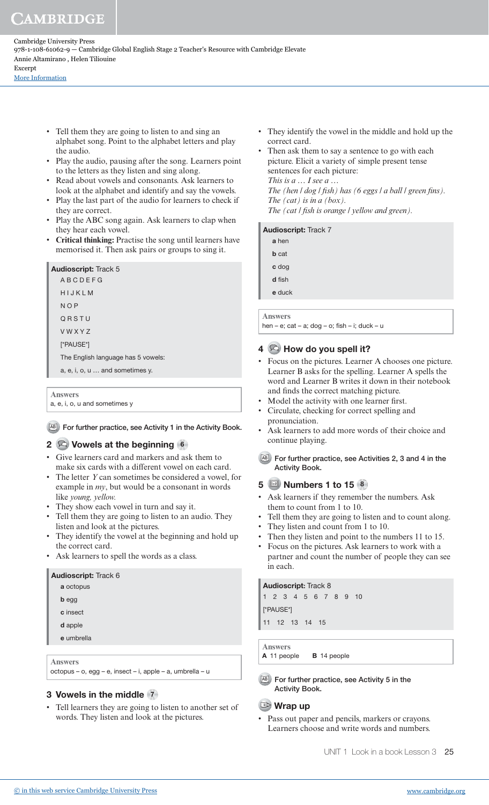Cambridge University Press 978-1-108-61062-9 — Cambridge Global English Stage 2 Teacher's Resource with Cambridge Elevate Annie Altamirano , Helen Tiliouine Excerpt

[More Information](www.cambridge.org/9781108610629)

- Tell them they are going to listen to and sing an alphabet song. Point to the alphabet letters and play the audio.
- Play the audio, pausing after the song. Learners point to the letters as they listen and sing along.
- Read about vowels and consonants. Ask learners to look at the alphabet and identify and say the vowels.
- Play the last part of the audio for learners to check if they are correct.
- Play the ABC song again. Ask learners to clap when they hear each vowel.
- **Critical thinking:** Practise the song until learners have memorised it. Then ask pairs or groups to sing it.

| HIJKLM                             |
|------------------------------------|
|                                    |
| NOP                                |
| ORSTU                              |
| <b>VWXYZ</b>                       |
| [*PAUSE*]                          |
| The English language has 5 vowels: |
| a, e, i, o, u  and sometimes y.    |

#### **Answers**

a, e, i, o, u and sometimes y

## AB For further practice, see Activity 1 in the Activity Book.

## 2 **Q** Vowels at the beginning 6

- Give learners card and markers and ask them to make six cards with a different vowel on each card.
- The letter *Y* can sometimes be considered a vowel, for example in *my*, but would be a consonant in words like *young, yellow.*
- They show each vowel in turn and say it.
- Tell them they are going to listen to an audio. They listen and look at the pictures.
- They identify the vowel at the beginning and hold up the correct card.
- Ask learners to spell the words as a class.

# Audioscript: Track 6 a octopus b egg c insect d apple e umbrella **Answers**

## octopus – o, egg – e, insect – i, apple – a, umbrella – u

## 3 Vowels in the middle (7)

• Tell learners they are going to listen to another set of words. They listen and look at the pictures.

- They identify the vowel in the middle and hold up the correct card.
- Then ask them to say a sentence to go with each picture. Elicit a variety of simple present tense sentences for each picture:  *This is a … I see a … The (hen l dog l fish) has (6 eggs l a ball l green fins). The (cat) is in a (box).*  The (cat *l* fish is orange *l* yellow and green).

#### Audioscript: Track 7

| a hen        |  |
|--------------|--|
| <b>b</b> cat |  |
| c dog        |  |
| d fish       |  |
| e duck       |  |

**Answers** 

hen – e; cat – a; dog – o; fish – i; duck – u

## $4 \otimes$  How do you spell it?

- Focus on the pictures. Learner A chooses one picture. Learner B asks for the spelling. Learner A spells the word and Learner B writes it down in their notebook and finds the correct matching picture.
- Model the activity with one learner first.
- Circulate, checking for correct spelling and pronunciation.
- Ask learners to add more words of their choice and continue playing.
- AB For further practice, see Activities 2, 3 and 4 in the Activity Book.

## 5 **a** Numbers 1 to 15 **8**

- Ask learners if they remember the numbers. Ask them to count from 1 to 10.
- Tell them they are going to listen and to count along.
- They listen and count from 1 to 10.
- Then they listen and point to the numbers 11 to 15.
- Focus on the pictures. Ask learners to work with a partner and count the number of people they can see in each.

#### Audioscript: Track 8

1 2 3 4 5 6 7 8 9 10 [\*PAUSE\*]

11 12 13 14 15

**Answers** 

A 11 people **B** 14 people

AB For further practice, see Activity 5 in the Activity Book.

## **Wrap up**

Pass out paper and pencils, markers or crayons. Learners choose and write words and numbers.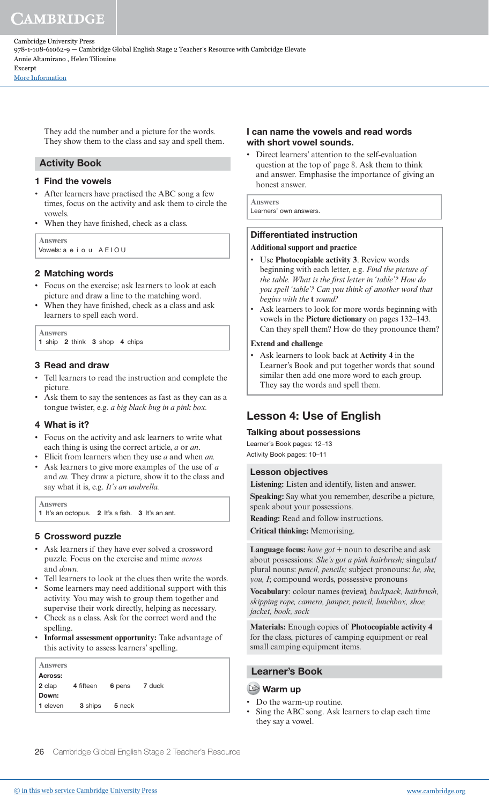Cambridge University Press 978-1-108-61062-9 — Cambridge Global English Stage 2 Teacher's Resource with Cambridge Elevate Annie Altamirano , Helen Tiliouine Excerpt

[More Information](www.cambridge.org/9781108610629)

They add the number and a picture for the words. They show them to the class and say and spell them.

## Activity Book

## 1 Find the vowels

- After learners have practised the ABC song a few times, focus on the activity and ask them to circle the vowels.
- When they have finished, check as a class.

**Answers**  Vowels: a e i o u AEIOU

## 2 Matching words

- Focus on the exercise; ask learners to look at each picture and draw a line to the matching word.
- When they have finished, check as a class and ask learners to spell each word.

**Answers** 

1 ship 2 think 3 shop 4 chips

## 3 Read and draw

- Tell learners to read the instruction and complete the picture.
- Ask them to say the sentences as fast as they can as a tongue twister, e.g. *a big black bug in a pink box.*

## 4 What is it?

- Focus on the activity and ask learners to write what each thing is using the correct article, *a* or *an*.
- Elicit from learners when they use *a* and when *an.*
- Ask learners to give more examples of the use of *a*  and *an.* They draw a picture, show it to the class and say what it is, e.g. *It's an umbrella.*

**Answers** 

1 It's an octopus. 2 It's a fish. 3 It's an ant.

## 5 Crossword puzzle

- Ask learners if they have ever solved a crossword puzzle. Focus on the exercise and mime *across*  and *down.*
- Tell learners to look at the clues then write the words.
- Some learners may need additional support with this activity. You may wish to group them together and supervise their work directly, helping as necessary.
- Check as a class. Ask for the correct word and the spelling.
- **Informal assessment opportunity:** Take advantage of this activity to assess learners' spelling.

| <b>Answers</b>  |                  |                |  |
|-----------------|------------------|----------------|--|
| Across:         |                  |                |  |
| <b>2</b> clap   | <b>4</b> fifteen | 6 pens 7 duck  |  |
| Down:           |                  |                |  |
| <b>1</b> eleven |                  | 3 ships 5 neck |  |
|                 |                  |                |  |

## I can name the vowels and read words with short vowel sounds.

• Direct learners' attention to the self-evaluation question at the top of page 8. Ask them to think and answer. Emphasise the importance of giving an honest answer.

**Answers**  Learners' own answers.

# Differentiated instruction

## **Additional support and practice**

- Use **Photocopiable activity 3**. Review words beginning with each letter, e.g. *Find the picture of the table. What is the first letter in 'table'? How do you spell 'table'? Can you think of another word that begins with the* **t** *sound?*
- Ask learners to look for more words beginning with vowels in the **Picture dictionary** on pages 132–143. Can they spell them? How do they pronounce them?

#### **Extend and challenge**

• Ask learners to look back at **Activity 4** in the Learner's Book and put together words that sound similar then add one more word to each group. They say the words and spell them.

## Lesson 4: Use of English

## Talking about possessions

Learner's Book pages: 12–13 Activity Book pages: 10–11

## Lesson objectives

**Listening:** Listen and identify, listen and answer. **Speaking:** Say what you remember, describe a picture, speak about your possessions.

**Reading:** Read and follow instructions.

**Critical thinking:** Memorising.

**Language focus:** *have got* + noun to describe and ask about possessions: *She's got a pink hairbrush;* singular/ plural nouns: *pencil, pencils;* subject pronouns: *he, she, you, I*; compound words, possessive pronouns

**Vocabulary**: colour names (review)*, backpack, hairbrush, skipping rope, camera, jumper, pencil, lunchbox, shoe, jacket, book, sock*

**Materials:** Enough copies of **Photocopiable activity 4** for the class, pictures of camping equipment or real small camping equipment items.

## Learner's Book

## **Warm up**

- Do the warm-up routine.
- Sing the ABC song. Ask learners to clap each time they say a vowel.

26 Cambridge Global English Stage 2 Teacher's Resource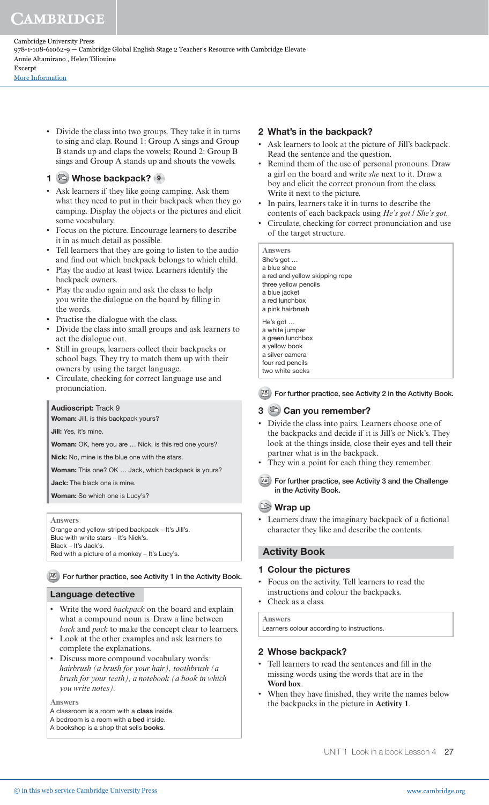Cambridge University Press 978-1-108-61062-9 — Cambridge Global English Stage 2 Teacher's Resource with Cambridge Elevate Annie Altamirano , Helen Tiliouine Excerpt

[More Information](www.cambridge.org/9781108610629)

• Divide the class into two groups. They take it in turns to sing and clap. Round 1: Group A sings and Group B stands up and claps the vowels; Round 2: Group B sings and Group A stands up and shouts the vowels.

## 1 Sol Whose backpack? 9

- Ask learners if they like going camping. Ask them what they need to put in their backpack when they go camping. Display the objects or the pictures and elicit some vocabulary.
- Focus on the picture. Encourage learners to describe it in as much detail as possible.
- Tell learners that they are going to listen to the audio and find out which backpack belongs to which child.
- Play the audio at least twice. Learners identify the backpack owners.
- Play the audio again and ask the class to help you write the dialogue on the board by filling in the words.
- Practise the dialogue with the class.
- Divide the class into small groups and ask learners to act the dialogue out.
- Still in groups, learners collect their backpacks or school bags. They try to match them up with their owners by using the target language.
- Circulate, checking for correct language use and pronunciation.

## Audioscript: Track 9

Woman: Jill, is this backpack yours?

Jill: Yes, it's mine.

Woman: OK, here you are ... Nick, is this red one yours?

Nick: No, mine is the blue one with the stars.

Woman: This one? OK ... Jack, which backpack is yours?

Jack: The black one is mine.

Woman: So which one is Lucy's?

**Answers** 

Orange and yellow-striped backpack – It's Jill's. Blue with white stars – It's Nick's. Black – It's Jack's.

Red with a picture of a monkey – It's Lucy's.

## AB For further practice, see Activity 1 in the Activity Book.

## Language detective

- Write the word *backpack* on the board and explain what a compound noun is. Draw a line between *back* and *pack* to make the concept clear to learners.
- Look at the other examples and ask learners to complete the explanations.
- Discuss more compound vocabulary words*: hairbrush (a brush for your hair), toothbrush (a brush for your teeth), a notebook (a book in which you write notes).*

**Answers** 

- A classroom is a room with a class inside.
- A bedroom is a room with a bed inside.
- A bookshop is a shop that sells books.

## 2 What's in the backpack?

- Ask learners to look at the picture of Jill's backpack. Read the sentence and the question.
- Remind them of the use of personal pronouns. Draw a girl on the board and write *she* next to it. Draw a boy and elicit the correct pronoun from the class. Write it next to the picture.
- In pairs, learners take it in turns to describe the contents of each backpack using *He's got / She's got.*
- Circulate, checking for correct pronunciation and use of the target structure.

| <b>Answers</b><br>She's got<br>a blue shoe<br>a red and yellow skipping rope<br>three yellow pencils<br>a blue jacket<br>a red lunchbox<br>a pink hairbrush |
|-------------------------------------------------------------------------------------------------------------------------------------------------------------|
| He's got $\dots$<br>a white jumper                                                                                                                          |
| a green lunchbox                                                                                                                                            |
| a yellow book                                                                                                                                               |
| a silver camera                                                                                                                                             |
| four red pencils                                                                                                                                            |
| two white socks                                                                                                                                             |
|                                                                                                                                                             |

AB For further practice, see Activity 2 in the Activity Book.

## 3 © Can you remember?

- Divide the class into pairs. Learners choose one of the backpacks and decide if it is Jill's or Nick's. They look at the things inside, close their eyes and tell their partner what is in the backpack.
- They win a point for each thing they remember.
- AB For further practice, see Activity 3 and the Challenge in the Activity Book.

## Wrap up

• Learners draw the imaginary backpack of a fictional character they like and describe the contents.

## Activity Book

## 1 Colour the pictures

- Focus on the activity. Tell learners to read the instructions and colour the backpacks.
- Check as a class.

**Answers**

Learners colour according to instructions.

## 2 Whose backpack?

- Tell learners to read the sentences and fill in the missing words using the words that are in the **Word box**.
- When they have finished, they write the names below the backpacks in the picture in **Activity 1**.